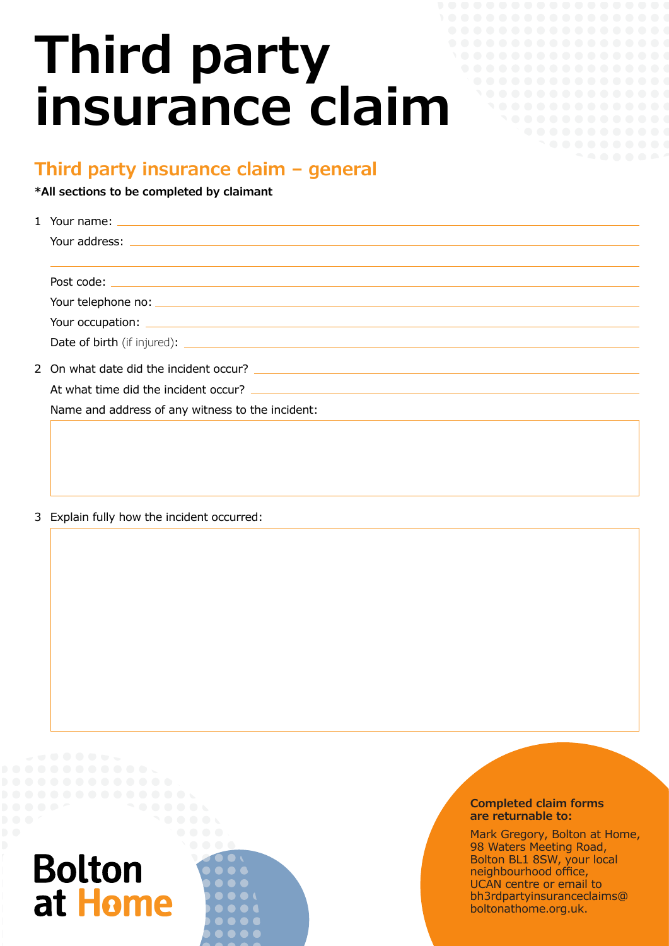# **Third party insurance claim**

### **Third party insurance claim – general**

**\*All sections to be completed by claimant**

| Name and address of any witness to the incident: |  |  |
|--------------------------------------------------|--|--|
|                                                  |  |  |

3 Explain fully how the incident occurred:

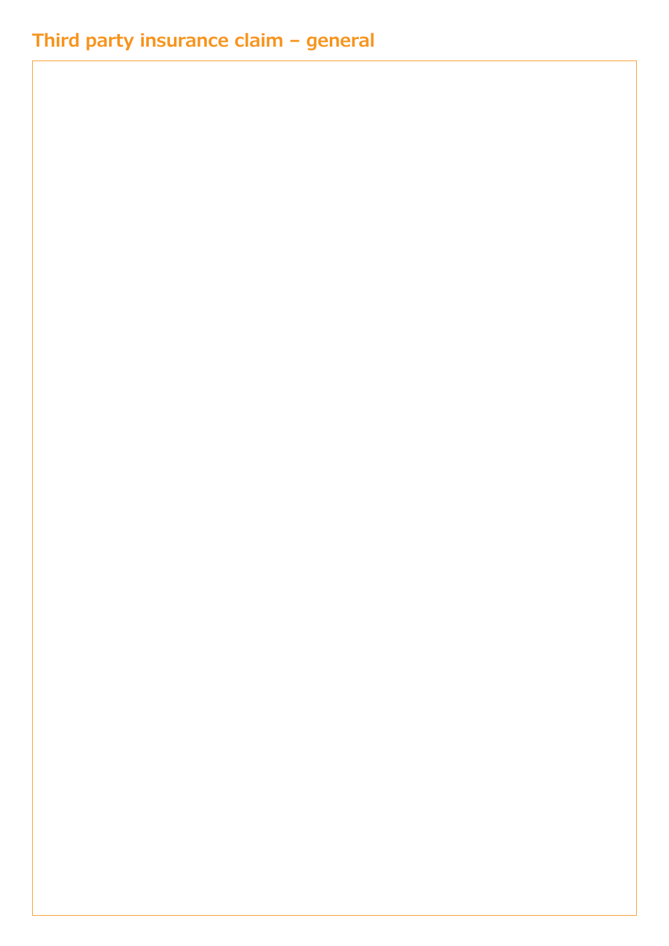## **Third party insurance claim – general**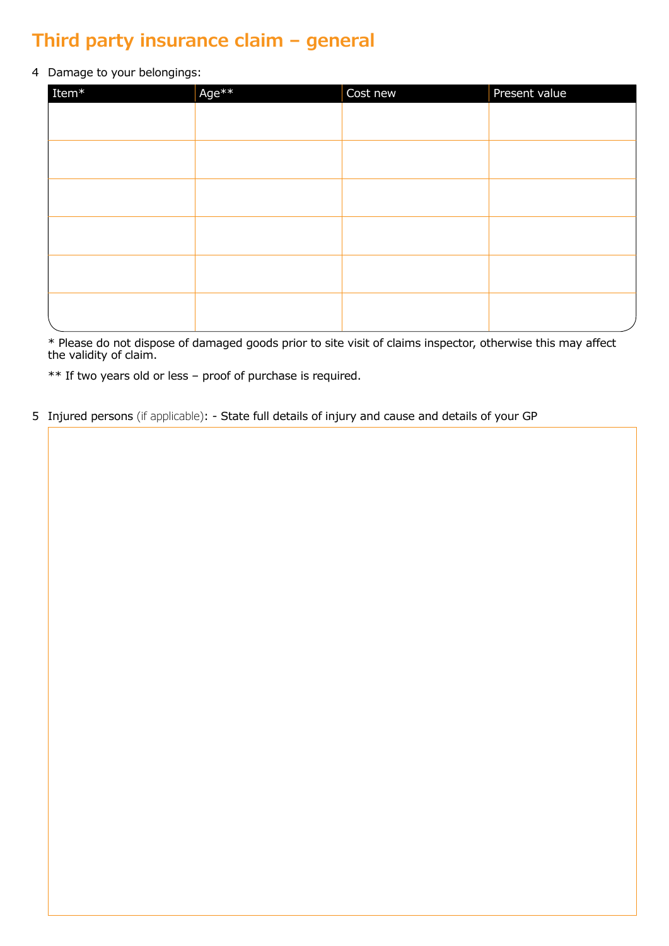## **Third party insurance claim – general**

#### 4 Damage to your belongings:

| Item ${}^*$ | Age** | Cost new | Present value |
|-------------|-------|----------|---------------|
|             |       |          |               |
|             |       |          |               |
|             |       |          |               |
|             |       |          |               |
|             |       |          |               |
|             |       |          |               |
|             |       |          |               |
|             |       |          |               |
|             |       |          |               |
|             |       |          |               |
|             |       |          |               |
|             |       |          |               |

\* Please do not dispose of damaged goods prior to site visit of claims inspector, otherwise this may affect the validity of claim.

\*\* If two years old or less – proof of purchase is required.

5 Injured persons (if applicable): - State full details of injury and cause and details of your GP